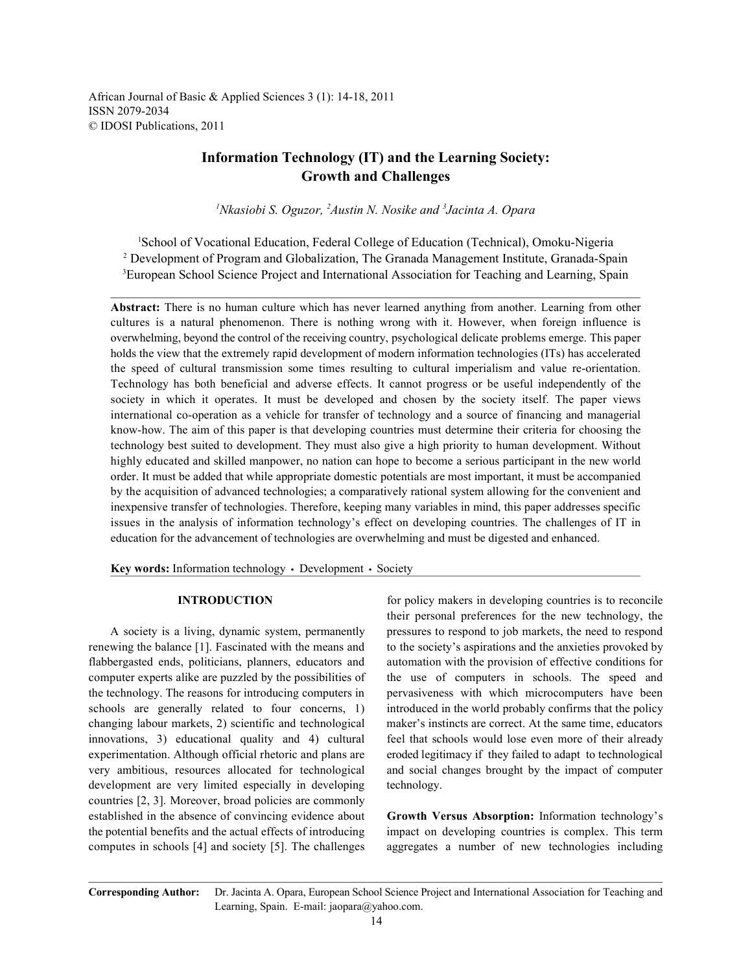African Journal of Basic & Applied Sciences 3 (1): 14-18, 2011 ISSN 2079-2034 © IDOSI Publications, 2011

## **Information Technology (IT) and the Learning Society: Growth and Challenges**

<sup>1</sup>Nkasiobi S. Oguzor, <sup>2</sup>Austin N. Nosike and <sup>3</sup>Jacinta A. Opara

<sup>1</sup>School of Vocational Education, Federal College of Education (Technical), Omoku-Nigeria Development of Program and Globalization, The Granada Management Institute, Granada-Spain <sup>2</sup> <sup>3</sup>European School Science Project and International Association for Teaching and Learning, Spain

**Abstract:** There is no human culture which has never learned anything from another. Learning from other cultures is a natural phenomenon. There is nothing wrong with it. However, when foreign influence is overwhelming, beyond the control of the receiving country, psychological delicate problems emerge. This paper holds the view that the extremely rapid development of modern information technologies (ITs) has accelerated the speed of cultural transmission some times resulting to cultural imperialism and value re-orientation. Technology has both beneficial and adverse effects. It cannot progress or be useful independently of the society in which it operates. It must be developed and chosen by the society itself. The paper views international co-operation as a vehicle for transfer of technology and a source of financing and managerial know-how. The aim of this paper is that developing countries must determine their criteria for choosing the technology best suited to development. They must also give a high priority to human development. Without highly educated and skilled manpower, no nation can hope to become a serious participant in the new world order. It must be added that while appropriate domestic potentials are most important, it must be accompanied by the acquisition of advanced technologies; a comparatively rational system allowing for the convenient and inexpensive transfer of technologies. Therefore, keeping many variables in mind, this paper addresses specific issues in the analysis of information technology's effect on developing countries. The challenges of IT in education for the advancement of technologies are overwhelming and must be digested and enhanced.

Key words: Information technology · Development · Society

renewing the balance [1]. Fascinated with the means and to the society's aspirations and the anxieties provoked by flabbergasted ends, politicians, planners, educators and automation with the provision of effective conditions for computer experts alike are puzzled by the possibilities of the use of computers in schools. The speed and the technology. The reasons for introducing computers in pervasiveness with which microcomputers have been schools are generally related to four concerns, 1) introduced in the world probably confirms that the policy changing labour markets, 2) scientific and technological maker's instincts are correct. At the same time, educators innovations, 3) educational quality and 4) cultural feel that schools would lose even more of their already experimentation. Although official rhetoric and plans are eroded legitimacy if they failed to adapt to technological very ambitious, resources allocated for technological and social changes brought by the impact of computer development are very limited especially in developing technology. countries [2, 3]. Moreover, broad policies are commonly established in the absence of convincing evidence about **Growth Versus Absorption:** Information technology's the potential benefits and the actual effects of introducing impact on developing countries is complex. This term computes in schools [4] and society [5]. The challenges aggregates a number of new technologies including

**INTRODUCTION** for policy makers in developing countries is to reconcile A society is a living, dynamic system, permanently pressures to respond to job markets, the need to respond their personal preferences for the new technology, the

**Corresponding Author:** Dr. Jacinta A. Opara, European School Science Project and International Association for Teaching and Learning, Spain. E-mail: jaopara@yahoo.com.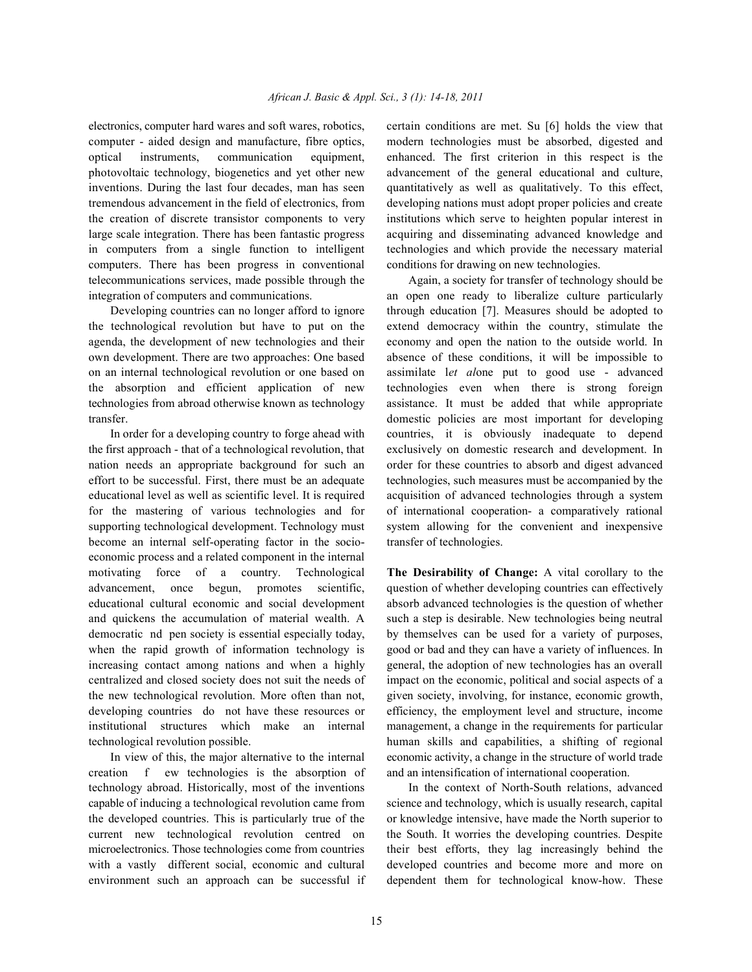computer - aided design and manufacture, fibre optics, modern technologies must be absorbed, digested and optical instruments, communication equipment, enhanced. The first criterion in this respect is the photovoltaic technology, biogenetics and yet other new advancement of the general educational and culture, inventions. During the last four decades, man has seen quantitatively as well as qualitatively. To this effect, tremendous advancement in the field of electronics, from developing nations must adopt proper policies and create the creation of discrete transistor components to very institutions which serve to heighten popular interest in large scale integration. There has been fantastic progress acquiring and disseminating advanced knowledge and in computers from a single function to intelligent technologies and which provide the necessary material computers. There has been progress in conventional conditions for drawing on new technologies. telecommunications services, made possible through the Again, a society for transfer of technology should be integration of computers and communications. an open one ready to liberalize culture particularly

the technological revolution but have to put on the extend democracy within the country, stimulate the agenda, the development of new technologies and their economy and open the nation to the outside world. In own development. There are two approaches: One based absence of these conditions, it will be impossible to on an internal technological revolution or one based on assimilate l*et al*one put to good use - advanced the absorption and efficient application of new technologies even when there is strong foreign technologies from abroad otherwise known as technology assistance. It must be added that while appropriate transfer. domestic policies are most important for developing

the first approach - that of a technological revolution, that exclusively on domestic research and development. In nation needs an appropriate background for such an order for these countries to absorb and digest advanced effort to be successful. First, there must be an adequate technologies, such measures must be accompanied by the educational level as well as scientific level. It is required acquisition of advanced technologies through a system for the mastering of various technologies and for of international cooperation- a comparatively rational supporting technological development. Technology must system allowing for the convenient and inexpensive become an internal self-operating factor in the socio- transfer of technologies. economic process and a related component in the internal motivating force of a country. Technological **The Desirability of Change:** A vital corollary to the advancement, once begun, promotes scientific, question of whether developing countries can effectively educational cultural economic and social development absorb advanced technologies is the question of whether and quickens the accumulation of material wealth. A such a step is desirable. New technologies being neutral democratic nd pen society is essential especially today, by themselves can be used for a variety of purposes, when the rapid growth of information technology is good or bad and they can have a variety of influences. In increasing contact among nations and when a highly general, the adoption of new technologies has an overall centralized and closed society does not suit the needs of impact on the economic, political and social aspects of a the new technological revolution. More often than not, given society, involving, for instance, economic growth, developing countries do not have these resources or efficiency, the employment level and structure, income institutional structures which make an internal management, a change in the requirements for particular

creation f ew technologies is the absorption of and an intensification of international cooperation. technology abroad. Historically, most of the inventions In the context of North-South relations, advanced capable of inducing a technological revolution came from science and technology, which is usually research, capital the developed countries. This is particularly true of the or knowledge intensive, have made the North superior to current new technological revolution centred on the South. It worries the developing countries. Despite microelectronics. Those technologies come from countries their best efforts, they lag increasingly behind the with a vastly different social, economic and cultural developed countries and become more and more on environment such an approach can be successful if dependent them for technological know-how. These

electronics, computer hard wares and soft wares, robotics, certain conditions are met. Su [6] holds the view that

Developing countries can no longer afford to ignore through education [7]. Measures should be adopted to In order for a developing country to forge ahead with countries, it is obviously inadequate to depend

technological revolution possible. human skills and capabilities, a shifting of regional In view of this, the major alternative to the internal economic activity, a change in the structure of world trade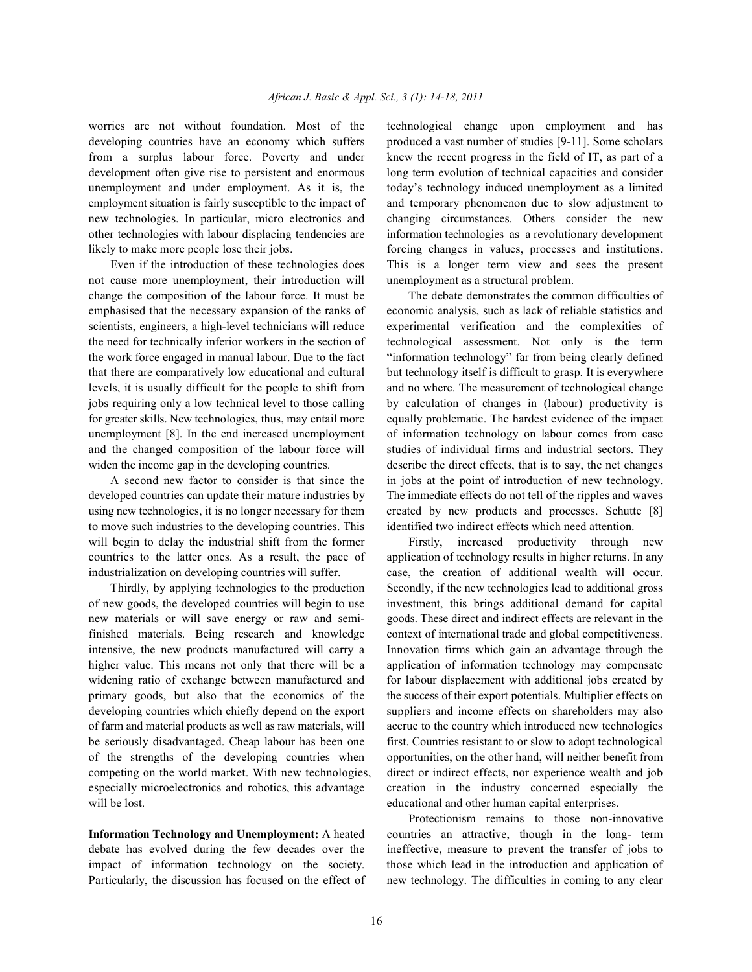worries are not without foundation. Most of the technological change upon employment and has developing countries have an economy which suffers produced a vast number of studies [9-11]. Some scholars from a surplus labour force. Poverty and under knew the recent progress in the field of IT, as part of a development often give rise to persistent and enormous long term evolution of technical capacities and consider unemployment and under employment. As it is, the today's technology induced unemployment as a limited employment situation is fairly susceptible to the impact of and temporary phenomenon due to slow adjustment to new technologies. In particular, micro electronics and changing circumstances. Others consider the new other technologies with labour displacing tendencies are information technologies as a revolutionary development

not cause more unemployment, their introduction will unemployment as a structural problem. change the composition of the labour force. It must be The debate demonstrates the common difficulties of emphasised that the necessary expansion of the ranks of economic analysis, such as lack of reliable statistics and scientists, engineers, a high-level technicians will reduce experimental verification and the complexities of the need for technically inferior workers in the section of technological assessment. Not only is the term the work force engaged in manual labour. Due to the fact "information technology" far from being clearly defined that there are comparatively low educational and cultural but technology itself is difficult to grasp. It is everywhere levels, it is usually difficult for the people to shift from and no where. The measurement of technological change jobs requiring only a low technical level to those calling by calculation of changes in (labour) productivity is for greater skills. New technologies, thus, may entail more equally problematic. The hardest evidence of the impact unemployment [8]. In the end increased unemployment of information technology on labour comes from case and the changed composition of the labour force will studies of individual firms and industrial sectors. They widen the income gap in the developing countries. describe the direct effects, that is to say, the net changes

developed countries can update their mature industries by The immediate effects do not tell of the ripples and waves using new technologies, it is no longer necessary for them created by new products and processes. Schutte [8] to move such industries to the developing countries. This identified two indirect effects which need attention. will begin to delay the industrial shift from the former Firstly, increased productivity through new countries to the latter ones. As a result, the pace of application of technology results in higher returns. In any industrialization on developing countries will suffer. case, the creation of additional wealth will occur.

of new goods, the developed countries will begin to use investment, this brings additional demand for capital new materials or will save energy or raw and semi- goods. These direct and indirect effects are relevant in the finished materials. Being research and knowledge context of international trade and global competitiveness. intensive, the new products manufactured will carry a Innovation firms which gain an advantage through the higher value. This means not only that there will be a application of information technology may compensate widening ratio of exchange between manufactured and for labour displacement with additional jobs created by primary goods, but also that the economics of the the success of their export potentials. Multiplier effects on developing countries which chiefly depend on the export suppliers and income effects on shareholders may also of farm and material products as well as raw materials, will accrue to the country which introduced new technologies be seriously disadvantaged. Cheap labour has been one first. Countries resistant to or slow to adopt technological of the strengths of the developing countries when opportunities, on the other hand, will neither benefit from competing on the world market. With new technologies, direct or indirect effects, nor experience wealth and job especially microelectronics and robotics, this advantage creation in the industry concerned especially the will be lost. **Example 20** educational and other human capital enterprises.

debate has evolved during the few decades over the ineffective, measure to prevent the transfer of jobs to impact of information technology on the society. those which lead in the introduction and application of Particularly, the discussion has focused on the effect of new technology. The difficulties in coming to any clear

likely to make more people lose their jobs. forcing changes in values, processes and institutions. Even if the introduction of these technologies does This is a longer term view and sees the present

A second new factor to consider is that since the in jobs at the point of introduction of new technology.

Thirdly, by applying technologies to the production Secondly, if the new technologies lead to additional gross

**Information Technology and Unemployment:** A heated countries an attractive, though in the long- term Protectionism remains to those non-innovative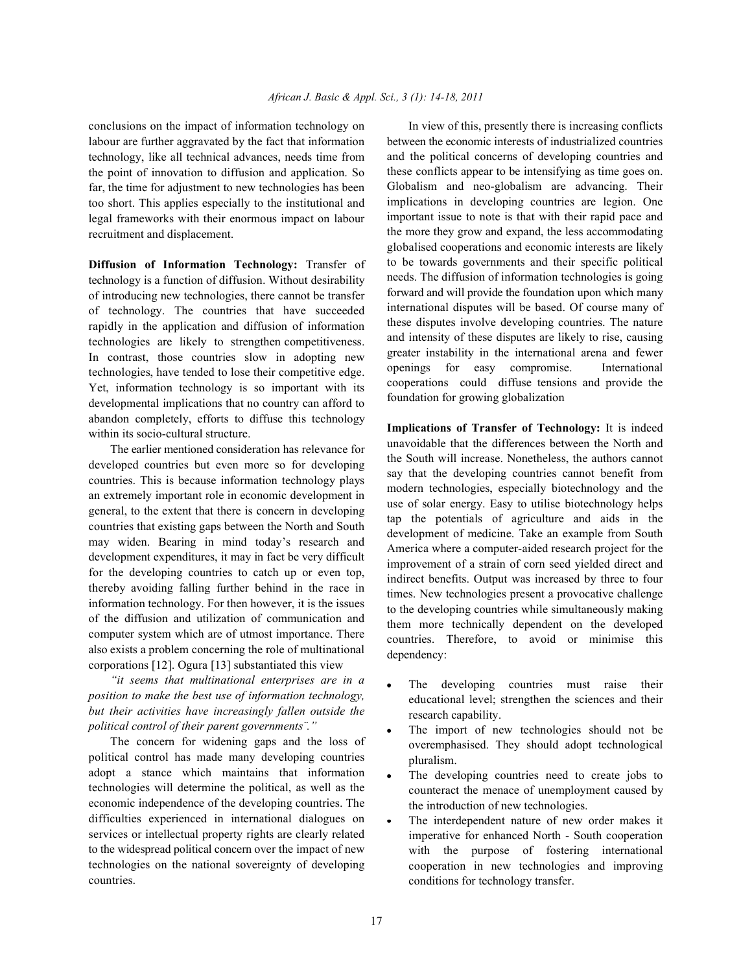labour are further aggravated by the fact that information technology, like all technical advances, needs time from the point of innovation to diffusion and application. So far, the time for adjustment to new technologies has been too short. This applies especially to the institutional and legal frameworks with their enormous impact on labour recruitment and displacement.

**Diffusion of Information Technology:** Transfer of technology is a function of diffusion. Without desirability of introducing new technologies, there cannot be transfer of technology. The countries that have succeeded rapidly in the application and diffusion of information technologies are likely to strengthen competitiveness. In contrast, those countries slow in adopting new technologies, have tended to lose their competitive edge. Yet, information technology is so important with its developmental implications that no country can afford to abandon completely, efforts to diffuse this technology within its socio-cultural structure.

The earlier mentioned consideration has relevance for developed countries but even more so for developing countries. This is because information technology plays an extremely important role in economic development in general, to the extent that there is concern in developing countries that existing gaps between the North and South may widen. Bearing in mind today's research and development expenditures, it may in fact be very difficult for the developing countries to catch up or even top, thereby avoiding falling further behind in the race in information technology. For then however, it is the issues of the diffusion and utilization of communication and computer system which are of utmost importance. There also exists a problem concerning the role of multinational corporations [12]. Ogura [13] substantiated this view

*"it seems that multinational enterprises are in a position to make the best use of information technology, but their activities have increasingly fallen outside the political control of their parent governments¨."*

The concern for widening gaps and the loss of political control has made many developing countries adopt a stance which maintains that information technologies will determine the political, as well as the economic independence of the developing countries. The difficulties experienced in international dialogues on services or intellectual property rights are clearly related to the widespread political concern over the impact of new technologies on the national sovereignty of developing countries.

conclusions on the impact of information technology on In view of this, presently there is increasing conflicts between the economic interests of industrialized countries and the political concerns of developing countries and these conflicts appear to be intensifying as time goes on. Globalism and neo-globalism are advancing. Their implications in developing countries are legion. One important issue to note is that with their rapid pace and the more they grow and expand, the less accommodating globalised cooperations and economic interests are likely to be towards governments and their specific political needs. The diffusion of information technologies is going forward and will provide the foundation upon which many international disputes will be based. Of course many of these disputes involve developing countries. The nature and intensity of these disputes are likely to rise, causing greater instability in the international arena and fewer openings for easy compromise. International cooperations could diffuse tensions and provide the foundation for growing globalization

> **Implications of Transfer of Technology:** It is indeed unavoidable that the differences between the North and the South will increase. Nonetheless, the authors cannot say that the developing countries cannot benefit from modern technologies, especially biotechnology and the use of solar energy. Easy to utilise biotechnology helps tap the potentials of agriculture and aids in the development of medicine. Take an example from South America where a computer-aided research project for the improvement of a strain of corn seed yielded direct and indirect benefits. Output was increased by three to four times. New technologies present a provocative challenge to the developing countries while simultaneously making them more technically dependent on the developed countries. Therefore, to avoid or minimise this dependency:

- The developing countries must raise their educational level; strengthen the sciences and their research capability.
- The import of new technologies should not be overemphasised. They should adopt technological pluralism.
- The developing countries need to create jobs to counteract the menace of unemployment caused by the introduction of new technologies.
- The interdependent nature of new order makes it imperative for enhanced North - South cooperation with the purpose of fostering international cooperation in new technologies and improving conditions for technology transfer.